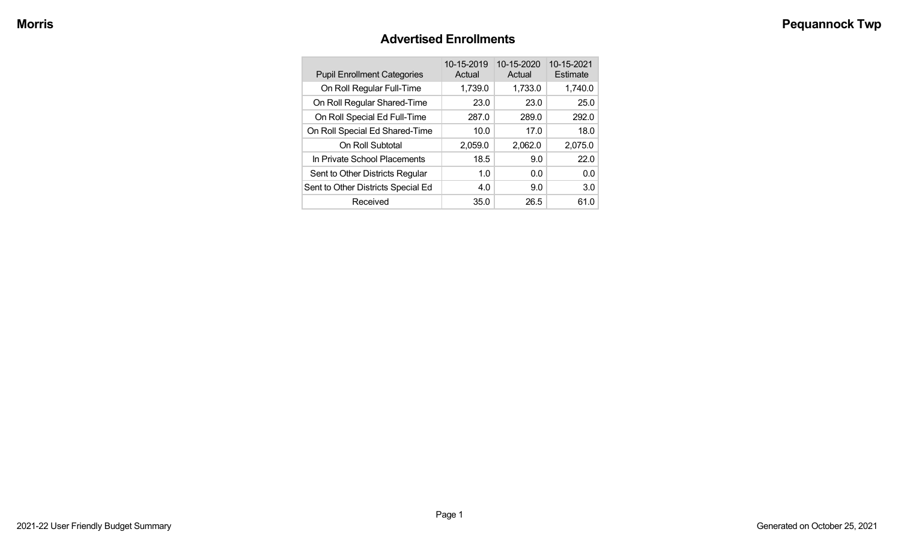### **Advertised Enrollments**

| <b>Pupil Enrollment Categories</b> | 10-15-2019<br>Actual | 10-15-2020<br>Actual | 10-15-2021<br>Estimate |
|------------------------------------|----------------------|----------------------|------------------------|
| On Roll Regular Full-Time          | 1,739.0              | 1,733.0              | 1,740.0                |
| On Roll Regular Shared-Time        | 23.0                 | 23.0                 | 25.0                   |
| On Roll Special Ed Full-Time       | 287.0                | 289.0                | 292.0                  |
| On Roll Special Ed Shared-Time     | 10.0                 | 17.0                 | 18.0                   |
| On Roll Subtotal                   | 2,059.0              | 2,062.0              | 2,075.0                |
| In Private School Placements       | 18.5                 | 9.0                  | 22.0                   |
| Sent to Other Districts Regular    | 1.0                  | 0.0                  | 0.0                    |
| Sent to Other Districts Special Ed | 4.0                  | 9.0                  | 3.0                    |
| Received                           | 35.0                 | 26.5                 | 61.0                   |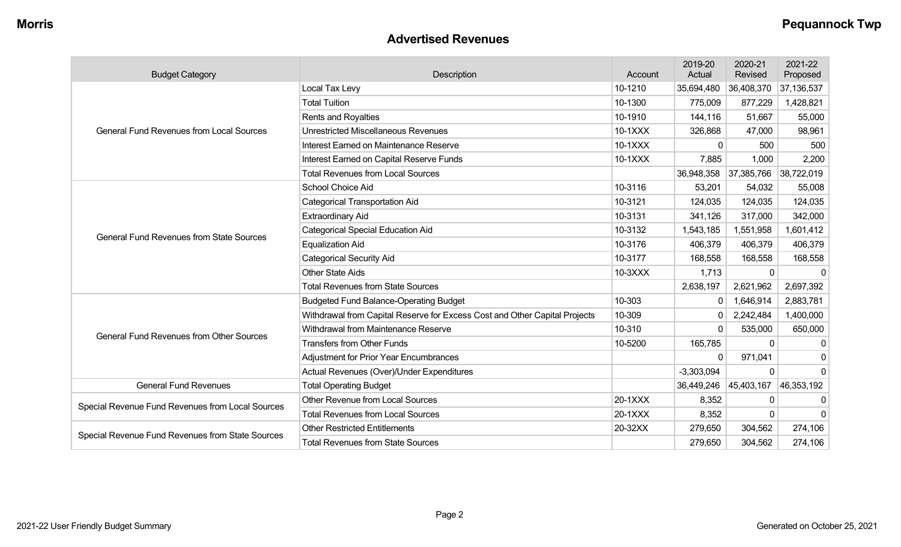#### **Advertised Revenues**

| <b>Budget Category</b>                           | Description                                                                | Account | 2019-20<br>Actual | 2020-21<br>Revised | 2021-22<br>Proposed |
|--------------------------------------------------|----------------------------------------------------------------------------|---------|-------------------|--------------------|---------------------|
|                                                  | Local Tax Levy                                                             | 10-1210 | 35,694,480        | 36,408,370         | 37,136,537          |
|                                                  | <b>Total Tuition</b>                                                       | 10-1300 | 775,009           | 877,229            | 1,428,821           |
| <b>General Fund Revenues from Local Sources</b>  | <b>Rents and Royalties</b>                                                 | 10-1910 | 144,116           | 51,667             | 55,000              |
|                                                  | <b>Unrestricted Miscellaneous Revenues</b>                                 | 10-1XXX | 326,868           | 47,000             | 98,961              |
|                                                  | Interest Earned on Maintenance Reserve                                     | 10-1XXX | $\Omega$          | 500                | 500                 |
|                                                  | Interest Earned on Capital Reserve Funds                                   | 10-1XXX | 7,885             | 1,000              | 2,200               |
|                                                  | <b>Total Revenues from Local Sources</b>                                   |         | 36,948,358        | 37,385,766         | 38,722,019          |
|                                                  | School Choice Aid                                                          | 10-3116 | 53,201            | 54,032             | 55,008              |
|                                                  | <b>Categorical Transportation Aid</b>                                      | 10-3121 | 124,035           | 124,035            | 124,035             |
|                                                  | <b>Extraordinary Aid</b>                                                   | 10-3131 | 341,126           | 317,000            | 342,000             |
| <b>General Fund Revenues from State Sources</b>  | <b>Categorical Special Education Aid</b>                                   | 10-3132 | 1,543,185         | 1,551,958          | 1,601,412           |
|                                                  | <b>Equalization Aid</b>                                                    | 10-3176 | 406,379           | 406,379            | 406,379             |
|                                                  | <b>Categorical Security Aid</b>                                            | 10-3177 | 168,558           | 168,558            | 168,558             |
|                                                  | <b>Other State Aids</b>                                                    | 10-3XXX | 1,713             | 0                  |                     |
|                                                  | <b>Total Revenues from State Sources</b>                                   |         | 2,638,197         | 2,621,962          | 2,697,392           |
|                                                  | <b>Budgeted Fund Balance-Operating Budget</b>                              | 10-303  | 0                 | 1,646,914          | 2,883,781           |
|                                                  | Withdrawal from Capital Reserve for Excess Cost and Other Capital Projects | 10-309  | 0                 | 2,242,484          | 1,400,000           |
| <b>General Fund Revenues from Other Sources</b>  | Withdrawal from Maintenance Reserve                                        | 10-310  | $\mathbf{0}$      | 535,000            | 650,000             |
|                                                  | <b>Transfers from Other Funds</b>                                          | 10-5200 | 165,785           | $\Omega$           | $\Omega$            |
|                                                  | <b>Adjustment for Prior Year Encumbrances</b>                              |         | 0                 | 971,041            | 0                   |
|                                                  | Actual Revenues (Over)/Under Expenditures                                  |         | $-3,303,094$      | 0                  | $\mathbf 0$         |
| <b>General Fund Revenues</b>                     | <b>Total Operating Budget</b>                                              |         | 36,449,246        | 45,403,167         | 46,353,192          |
| Special Revenue Fund Revenues from Local Sources | Other Revenue from Local Sources                                           | 20-1XXX | 8,352             | 0                  | 0                   |
|                                                  | <b>Total Revenues from Local Sources</b>                                   | 20-1XXX | 8,352             | $\Omega$           | $\Omega$            |
|                                                  | <b>Other Restricted Entitlements</b>                                       | 20-32XX | 279,650           | 304,562            | 274,106             |
| Special Revenue Fund Revenues from State Sources | <b>Total Revenues from State Sources</b>                                   |         | 279,650           | 304,562            | 274,106             |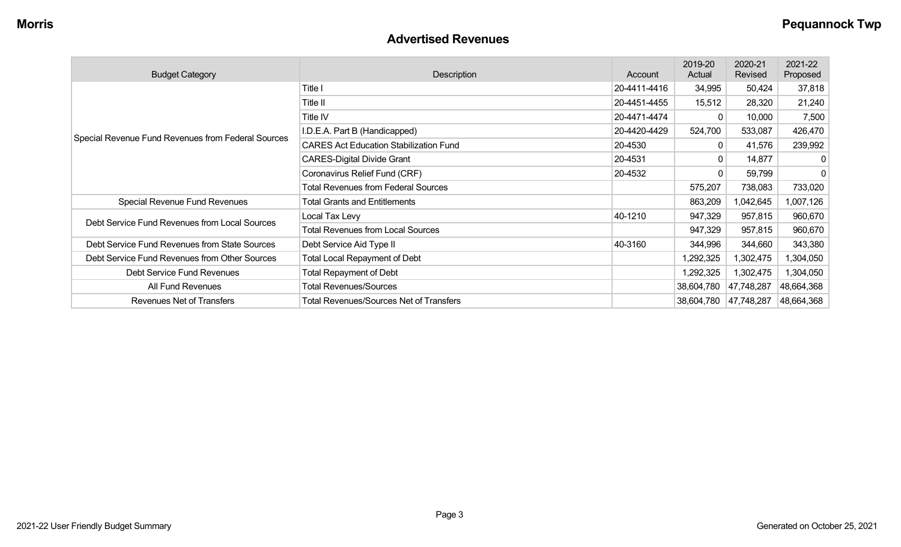#### **Advertised Revenues**

| <b>Budget Category</b>                             | Description                                    | Account      | 2019-20<br>Actual | 2020-21<br>Revised | 2021-22<br>Proposed |
|----------------------------------------------------|------------------------------------------------|--------------|-------------------|--------------------|---------------------|
|                                                    | Title I                                        | 20-4411-4416 | 34,995            | 50,424             | 37,818              |
|                                                    | Title II                                       | 20-4451-4455 | 15,512            | 28,320             | 21,240              |
|                                                    | Title IV                                       | 20-4471-4474 | $\Omega$          | 10,000             | 7,500               |
| Special Revenue Fund Revenues from Federal Sources | I.D.E.A. Part B (Handicapped)                  | 20-4420-4429 | 524,700           | 533,087            | 426,470             |
|                                                    | <b>CARES Act Education Stabilization Fund</b>  | 20-4530      | 0                 | 41,576             | 239,992             |
|                                                    | <b>CARES-Digital Divide Grant</b>              | 20-4531      | $\mathbf{0}$      | 14,877             | 0                   |
|                                                    | Coronavirus Relief Fund (CRF)                  | 20-4532      | $\mathbf{0}$      | 59,799             | 0                   |
|                                                    | <b>Total Revenues from Federal Sources</b>     |              | 575,207           | 738,083            | 733,020             |
| Special Revenue Fund Revenues                      | <b>Total Grants and Entitlements</b>           |              | 863,209           | 1,042,645          | 1,007,126           |
| Debt Service Fund Revenues from Local Sources      | Local Tax Levy                                 | 40-1210      | 947,329           | 957,815            | 960,670             |
|                                                    | <b>Total Revenues from Local Sources</b>       |              | 947,329           | 957,815            | 960,670             |
| Debt Service Fund Revenues from State Sources      | Debt Service Aid Type II                       | 40-3160      | 344,996           | 344,660            | 343,380             |
| Debt Service Fund Revenues from Other Sources      | <b>Total Local Repayment of Debt</b>           |              | 1,292,325         | 1,302,475          | 1,304,050           |
| Debt Service Fund Revenues                         | <b>Total Repayment of Debt</b>                 |              | 1,292,325         | 1,302,475          | 1,304,050           |
| All Fund Revenues                                  | <b>Total Revenues/Sources</b>                  |              | 38,604,780        | 47,748,287         | 48,664,368          |
| Revenues Net of Transfers                          | <b>Total Revenues/Sources Net of Transfers</b> |              | 38,604,780        | 47,748,287         | 48,664,368          |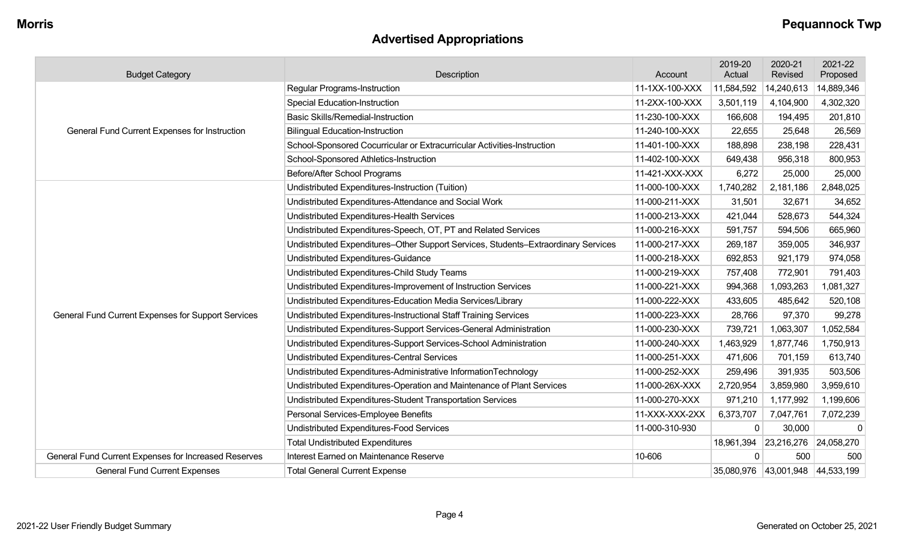## **Advertised Appropriations**

| <b>Budget Category</b>                               | Description                                                                        | Account        | 2019-20<br>Actual | 2020-21<br>Revised               | 2021-22<br>Proposed |
|------------------------------------------------------|------------------------------------------------------------------------------------|----------------|-------------------|----------------------------------|---------------------|
|                                                      | <b>Regular Programs-Instruction</b>                                                | 11-1XX-100-XXX | 11,584,592        | 14,240,613                       | 14,889,346          |
|                                                      | <b>Special Education-Instruction</b>                                               | 11-2XX-100-XXX | 3,501,119         | 4,104,900                        | 4,302,320           |
| General Fund Current Expenses for Instruction        | <b>Basic Skills/Remedial-Instruction</b>                                           | 11-230-100-XXX | 166,608           | 194,495                          | 201,810             |
|                                                      | <b>Bilingual Education-Instruction</b>                                             | 11-240-100-XXX | 22,655            | 25,648                           | 26,569              |
|                                                      | School-Sponsored Cocurricular or Extracurricular Activities-Instruction            | 11-401-100-XXX | 188,898           | 238,198                          | 228,431             |
|                                                      | School-Sponsored Athletics-Instruction                                             | 11-402-100-XXX | 649,438           | 956,318                          | 800,953             |
|                                                      | Before/After School Programs                                                       | 11-421-XXX-XXX | 6,272             | 25,000                           | 25,000              |
|                                                      | Undistributed Expenditures-Instruction (Tuition)                                   | 11-000-100-XXX | 1,740,282         | 2,181,186                        | 2,848,025           |
|                                                      | Undistributed Expenditures-Attendance and Social Work                              | 11-000-211-XXX | 31,501            | 32,671                           | 34,652              |
|                                                      | Undistributed Expenditures-Health Services                                         | 11-000-213-XXX | 421,044           | 528,673                          | 544,324             |
|                                                      | Undistributed Expenditures-Speech, OT, PT and Related Services                     | 11-000-216-XXX | 591,757           | 594,506                          | 665,960             |
|                                                      | Undistributed Expenditures-Other Support Services, Students-Extraordinary Services | 11-000-217-XXX | 269,187           | 359,005                          | 346,937             |
|                                                      | Undistributed Expenditures-Guidance                                                | 11-000-218-XXX | 692,853           | 921,179                          | 974,058             |
|                                                      | Undistributed Expenditures-Child Study Teams                                       | 11-000-219-XXX | 757,408           | 772,901                          | 791,403             |
|                                                      | Undistributed Expenditures-Improvement of Instruction Services                     | 11-000-221-XXX | 994,368           | 1,093,263                        | 1,081,327           |
|                                                      | Undistributed Expenditures-Education Media Services/Library                        | 11-000-222-XXX | 433,605           | 485,642                          | 520,108             |
| General Fund Current Expenses for Support Services   | Undistributed Expenditures-Instructional Staff Training Services                   | 11-000-223-XXX | 28,766            | 97,370                           | 99,278              |
|                                                      | Undistributed Expenditures-Support Services-General Administration                 | 11-000-230-XXX | 739,721           | 1,063,307                        | 1,052,584           |
|                                                      | Undistributed Expenditures-Support Services-School Administration                  | 11-000-240-XXX | 1,463,929         | 1,877,746                        | 1,750,913           |
|                                                      | Undistributed Expenditures-Central Services                                        | 11-000-251-XXX | 471,606           | 701,159                          | 613,740             |
|                                                      | Undistributed Expenditures-Administrative InformationTechnology                    | 11-000-252-XXX | 259,496           | 391,935                          | 503,506             |
|                                                      | Undistributed Expenditures-Operation and Maintenance of Plant Services             | 11-000-26X-XXX | 2,720,954         | 3,859,980                        | 3,959,610           |
|                                                      | Undistributed Expenditures-Student Transportation Services                         | 11-000-270-XXX | 971,210           | 1,177,992                        | 1,199,606           |
|                                                      | Personal Services-Employee Benefits                                                | 11-XXX-XXX-2XX | 6,373,707         | 7,047,761                        | 7,072,239           |
|                                                      | Undistributed Expenditures-Food Services                                           | 11-000-310-930 | $\mathbf{0}$      | 30,000                           | $\mathbf 0$         |
|                                                      | <b>Total Undistributed Expenditures</b>                                            |                | 18,961,394        | 23,216,276                       | 24,058,270          |
| General Fund Current Expenses for Increased Reserves | Interest Earned on Maintenance Reserve                                             | 10-606         | $\Omega$          | 500                              | 500                 |
| <b>General Fund Current Expenses</b>                 | <b>Total General Current Expense</b>                                               |                |                   | 35,080,976 43,001,948 44,533,199 |                     |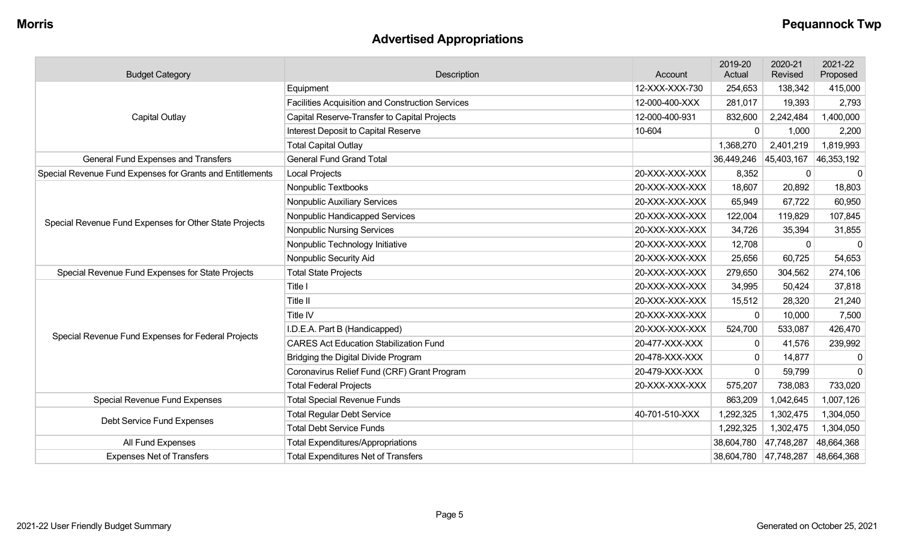## **Advertised Appropriations**

| <b>Budget Category</b>                                    | Description                                             | Account        | 2019-20<br>Actual     | 2020-21<br>Revised | 2021-22<br>Proposed |
|-----------------------------------------------------------|---------------------------------------------------------|----------------|-----------------------|--------------------|---------------------|
|                                                           | Equipment                                               | 12-XXX-XXX-730 | 254,653               | 138,342            | 415,000             |
|                                                           | <b>Facilities Acquisition and Construction Services</b> | 12-000-400-XXX | 281,017               | 19,393             | 2,793               |
| <b>Capital Outlay</b>                                     | Capital Reserve-Transfer to Capital Projects            | 12-000-400-931 | 832,600               | 2,242,484          | 1,400,000           |
|                                                           | Interest Deposit to Capital Reserve                     | 10-604         | $\mathbf 0$           | 1,000              | 2,200               |
|                                                           | <b>Total Capital Outlay</b>                             |                | 1,368,270             | 2,401,219          | 1,819,993           |
| General Fund Expenses and Transfers                       | <b>General Fund Grand Total</b>                         |                | 36,449,246            | 45,403,167         | 46,353,192          |
| Special Revenue Fund Expenses for Grants and Entitlements | <b>Local Projects</b>                                   | 20-XXX-XXX-XXX | 8,352                 | 0                  | $\mathbf 0$         |
|                                                           | Nonpublic Textbooks                                     | 20-XXX-XXX-XXX | 18,607                | 20,892             | 18,803              |
|                                                           | Nonpublic Auxiliary Services                            | 20-XXX-XXX-XXX | 65,949                | 67,722             | 60,950              |
| Special Revenue Fund Expenses for Other State Projects    | Nonpublic Handicapped Services                          | 20-XXX-XXX-XXX | 122,004               | 119,829            | 107,845             |
|                                                           | <b>Nonpublic Nursing Services</b>                       | 20-XXX-XXX-XXX | 34,726                | 35,394             | 31,855              |
|                                                           | Nonpublic Technology Initiative                         | 20-XXX-XXX-XXX | 12,708                | $\mathbf{0}$       | $\mathbf 0$         |
|                                                           | Nonpublic Security Aid                                  | 20-XXX-XXX-XXX | 25,656                | 60,725             | 54,653              |
| Special Revenue Fund Expenses for State Projects          | <b>Total State Projects</b>                             | 20-XXX-XXX-XXX | 279,650               | 304,562            | 274,106             |
|                                                           | Title I                                                 | 20-XXX-XXX-XXX | 34,995                | 50,424             | 37,818              |
|                                                           | Title II                                                | 20-XXX-XXX-XXX | 15,512                | 28,320             | 21,240              |
|                                                           | Title IV                                                | 20-XXX-XXX-XXX | $\Omega$              | 10,000             | 7,500               |
| Special Revenue Fund Expenses for Federal Projects        | I.D.E.A. Part B (Handicapped)                           | 20-XXX-XXX-XXX | 524,700               | 533,087            | 426,470             |
|                                                           | <b>CARES Act Education Stabilization Fund</b>           | 20-477-XXX-XXX | $\mathbf{0}$          | 41,576             | 239,992             |
|                                                           | Bridging the Digital Divide Program                     | 20-478-XXX-XXX | $\mathbf{0}$          | 14,877             | $\mathbf 0$         |
|                                                           | Coronavirus Relief Fund (CRF) Grant Program             | 20-479-XXX-XXX | $\mathbf{0}$          | 59,799             | $\Omega$            |
|                                                           | <b>Total Federal Projects</b>                           | 20-XXX-XXX-XXX | 575,207               | 738,083            | 733,020             |
| Special Revenue Fund Expenses                             | <b>Total Special Revenue Funds</b>                      |                | 863,209               | 1,042,645          | 1,007,126           |
| Debt Service Fund Expenses                                | <b>Total Regular Debt Service</b>                       | 40-701-510-XXX | 1,292,325             | 1,302,475          | 1,304,050           |
|                                                           | <b>Total Debt Service Funds</b>                         |                | 1,292,325             | 1,302,475          | 1,304,050           |
| All Fund Expenses                                         | <b>Total Expenditures/Appropriations</b>                |                | 38,604,780            | 47,748,287         | 48,664,368          |
| <b>Expenses Net of Transfers</b>                          | <b>Total Expenditures Net of Transfers</b>              |                | 38,604,780 47,748,287 |                    | 48,664,368          |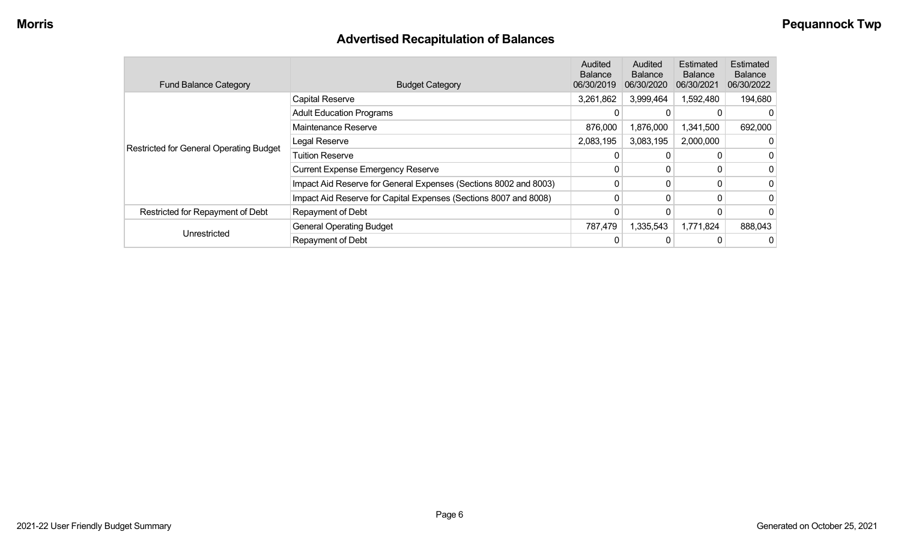## **Advertised Recapitulation of Balances**

| <b>Fund Balance Category</b>            | <b>Budget Category</b>                                           | Audited<br><b>Balance</b><br>06/30/2019 | Audited<br><b>Balance</b><br>06/30/2020 | Estimated<br><b>Balance</b><br>06/30/2021 | Estimated<br>Balance<br>06/30/2022 |
|-----------------------------------------|------------------------------------------------------------------|-----------------------------------------|-----------------------------------------|-------------------------------------------|------------------------------------|
|                                         | <b>Capital Reserve</b>                                           | 3,261,862                               | 3,999,464                               | 1,592,480                                 | 194,680                            |
|                                         | <b>Adult Education Programs</b>                                  |                                         |                                         |                                           | 0                                  |
|                                         | Maintenance Reserve                                              | 876,000                                 | 1,876,000                               | 1,341,500                                 | 692,000                            |
|                                         | Legal Reserve                                                    | 2,083,195                               | 3,083,195                               | 2,000,000                                 | 0                                  |
| Restricted for General Operating Budget | <b>Tuition Reserve</b>                                           |                                         |                                         |                                           | 0                                  |
|                                         | <b>Current Expense Emergency Reserve</b>                         |                                         | 0                                       |                                           | 0                                  |
|                                         | Impact Aid Reserve for General Expenses (Sections 8002 and 8003) |                                         |                                         |                                           | 0                                  |
|                                         | Impact Aid Reserve for Capital Expenses (Sections 8007 and 8008) | 0                                       | 0                                       |                                           | 0                                  |
| Restricted for Repayment of Debt        | Repayment of Debt                                                |                                         |                                         |                                           | 0                                  |
|                                         | <b>General Operating Budget</b>                                  | 787,479                                 | 1,335,543                               | 1,771,824                                 | 888,043                            |
| Unrestricted                            | Repayment of Debt                                                |                                         |                                         |                                           | 0                                  |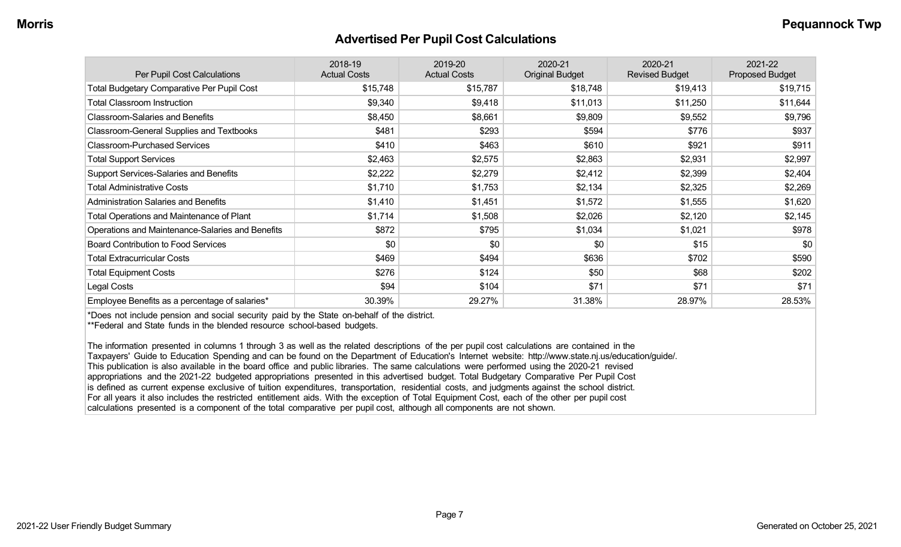#### **Advertised Per Pupil Cost Calculations**

| Per Pupil Cost Calculations                       | 2018-19<br><b>Actual Costs</b> | 2019-20<br><b>Actual Costs</b> | 2020-21<br><b>Original Budget</b> | 2020-21<br><b>Revised Budget</b> | 2021-22<br><b>Proposed Budget</b> |
|---------------------------------------------------|--------------------------------|--------------------------------|-----------------------------------|----------------------------------|-----------------------------------|
| <b>Total Budgetary Comparative Per Pupil Cost</b> | \$15,748                       | \$15,787                       | \$18,748                          | \$19,413                         | \$19,715                          |
| <b>Total Classroom Instruction</b>                | \$9,340                        | \$9,418                        | \$11,013                          | \$11,250                         | \$11,644                          |
| <b>Classroom-Salaries and Benefits</b>            | \$8,450                        | \$8,661                        | \$9,809                           | \$9,552                          | \$9,796                           |
| Classroom-General Supplies and Textbooks          | \$481                          | \$293                          | \$594                             | \$776                            | \$937                             |
| <b>Classroom-Purchased Services</b>               | \$410                          | \$463                          | \$610                             | \$921                            | \$911                             |
| <b>Total Support Services</b>                     | \$2,463                        | \$2,575                        | \$2,863                           | \$2,931                          | \$2,997                           |
| Support Services-Salaries and Benefits            | \$2,222                        | \$2,279                        | \$2,412                           | \$2,399                          | \$2,404                           |
| <b>Total Administrative Costs</b>                 | \$1,710                        | \$1,753                        | \$2,134                           | \$2,325                          | \$2,269                           |
| <b>Administration Salaries and Benefits</b>       | \$1,410                        | \$1,451                        | \$1,572                           | \$1,555                          | \$1,620                           |
| <b>Total Operations and Maintenance of Plant</b>  | \$1,714                        | \$1,508                        | \$2,026                           | \$2,120                          | \$2,145                           |
| Operations and Maintenance-Salaries and Benefits  | \$872                          | \$795                          | \$1,034                           | \$1,021                          | \$978                             |
| <b>Board Contribution to Food Services</b>        | \$0                            | \$0                            | \$0                               | \$15                             | \$0                               |
| <b>Total Extracurricular Costs</b>                | \$469                          | \$494                          | \$636                             | \$702                            | \$590                             |
| <b>Total Equipment Costs</b>                      | \$276                          | \$124                          | \$50                              | \$68                             | \$202                             |
| Legal Costs                                       | \$94                           | \$104                          | \$71                              | \$71                             | \$71                              |
| Employee Benefits as a percentage of salaries*    | 30.39%                         | 29.27%                         | 31.38%                            | 28.97%                           | 28.53%                            |

\*Does not include pension and social security paid by the State on-behalf of the district.

\*\*Federal and State funds in the blended resource school-based budgets.

The information presented in columns 1 through 3 as well as the related descriptions of the per pupil cost calculations are contained in the Taxpayers' Guide to Education Spending and can be found on the Department of Education's Internet website: http://www.state.nj.us/education/guide/. This publication is also available in the board office and public libraries. The same calculations were performed using the 2020-21 revised appropriations and the 2021-22 budgeted appropriations presented in this advertised budget. Total Budgetary Comparative Per Pupil Cost is defined as current expense exclusive of tuition expenditures, transportation, residential costs, and judgments against the school district. For all years it also includes the restricted entitlement aids. With the exception of Total Equipment Cost, each of the other per pupil cost calculations presented is a component of the total comparative per pupil cost, although all components are not shown.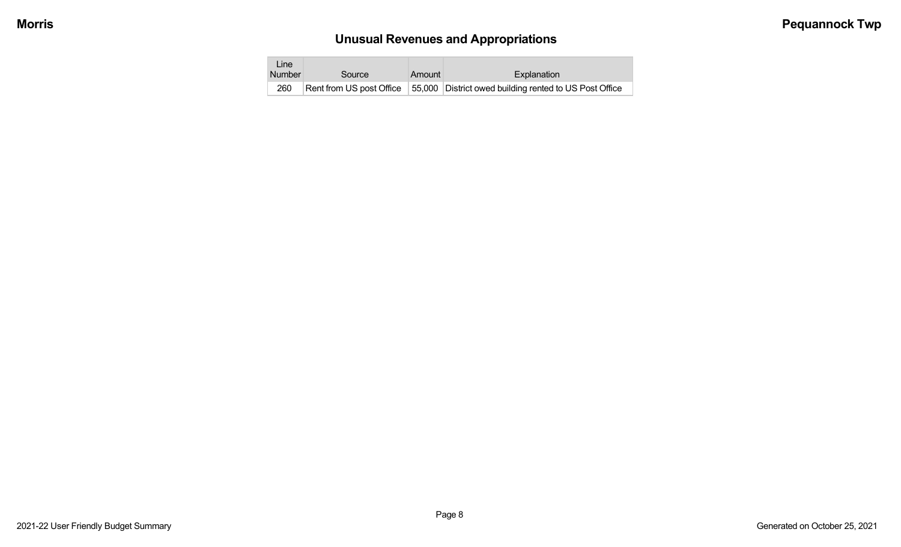# **Unusual Revenues and Appropriations**

| Line<br><b>Number</b> | Source | Amount | Explanation                                                                         |
|-----------------------|--------|--------|-------------------------------------------------------------------------------------|
| 260                   |        |        | Rent from US post Office   55,000   District owed building rented to US Post Office |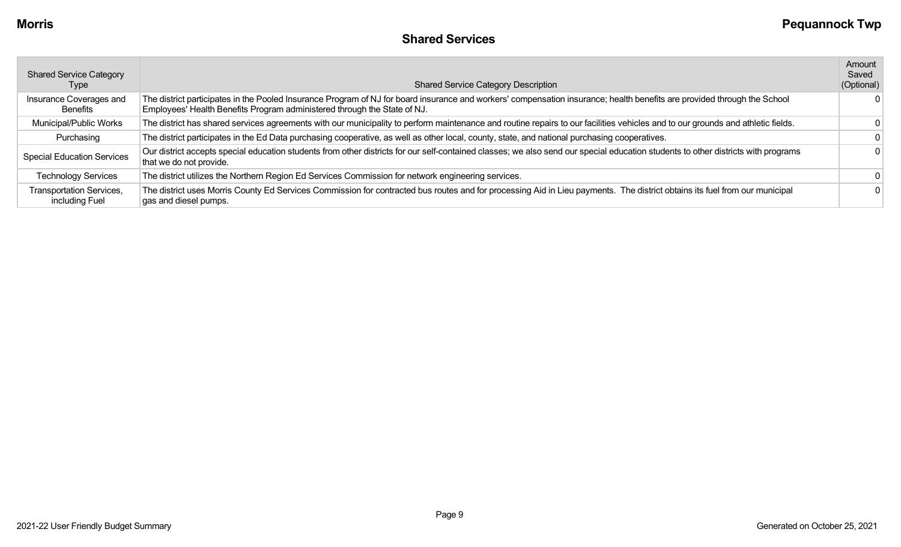| <b>Shared Service Category</b><br>Type     | <b>Shared Service Category Description</b>                                                                                                                                                                                                           | Amount<br>Saved<br>(Optional) |
|--------------------------------------------|------------------------------------------------------------------------------------------------------------------------------------------------------------------------------------------------------------------------------------------------------|-------------------------------|
| Insurance Coverages and<br>Benefits        | The district participates in the Pooled Insurance Program of NJ for board insurance and workers' compensation insurance; health benefits are provided through the School<br>Employees' Health Benefits Program administered through the State of NJ. |                               |
| Municipal/Public Works                     | The district has shared services agreements with our municipality to perform maintenance and routine repairs to our facilities vehicles and to our grounds and athletic fields.                                                                      |                               |
| Purchasing                                 | The district participates in the Ed Data purchasing cooperative, as well as other local, county, state, and national purchasing cooperatives.                                                                                                        |                               |
| <b>Special Education Services</b>          | Our district accepts special education students from other districts for our self-contained classes; we also send our special education students to other districts with programs<br>that we do not provide.                                         |                               |
| <b>Technology Services</b>                 | The district utilizes the Northern Region Ed Services Commission for network engineering services.                                                                                                                                                   |                               |
| Transportation Services,<br>including Fuel | The district uses Morris County Ed Services Commission for contracted bus routes and for processing Aid in Lieu payments. The district obtains its fuel from our municipal<br>gas and diesel pumps.                                                  |                               |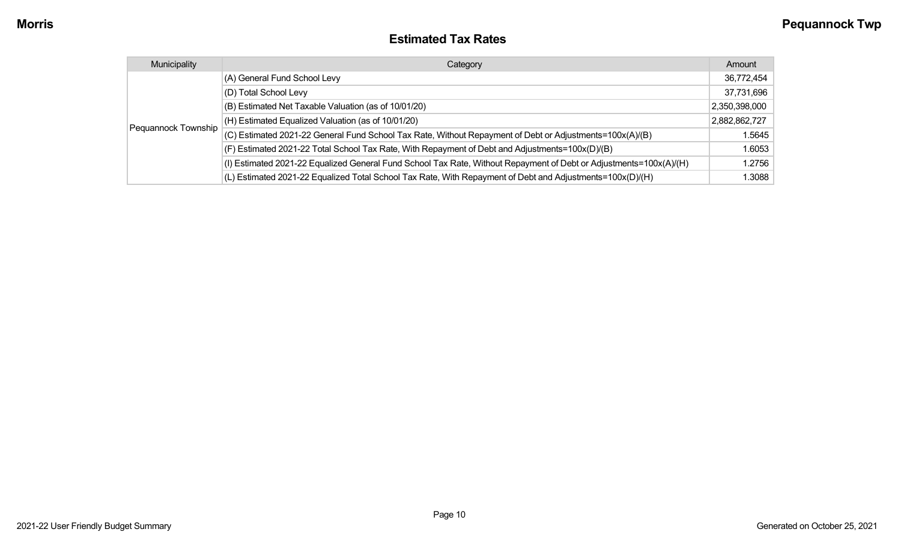### **Estimated Tax Rates**

| Municipality        | Category                                                                                                           | Amount        |
|---------------------|--------------------------------------------------------------------------------------------------------------------|---------------|
|                     | (A) General Fund School Levy                                                                                       | 36,772,454    |
|                     | (D) Total School Levy                                                                                              | 37,731,696    |
|                     | (B) Estimated Net Taxable Valuation (as of 10/01/20)                                                               | 2,350,398,000 |
|                     | $(H)$ Estimated Equalized Valuation (as of 10/01/20)                                                               | 2,882,862,727 |
| Pequannock Township | (C) Estimated 2021-22 General Fund School Tax Rate, Without Repayment of Debt or Adjustments=100x(A)/(B)           | 1.5645        |
|                     | (F) Estimated 2021-22 Total School Tax Rate, With Repayment of Debt and Adjustments=100x(D)/(B)                    | 1.6053        |
|                     | (I) Estimated 2021-22 Equalized General Fund School Tax Rate, Without Repayment of Debt or Adjustments=100x(A)/(H) | 1.2756        |
|                     | (L) Estimated 2021-22 Equalized Total School Tax Rate, With Repayment of Debt and Adjustments=100x(D)/(H)          | 1.3088        |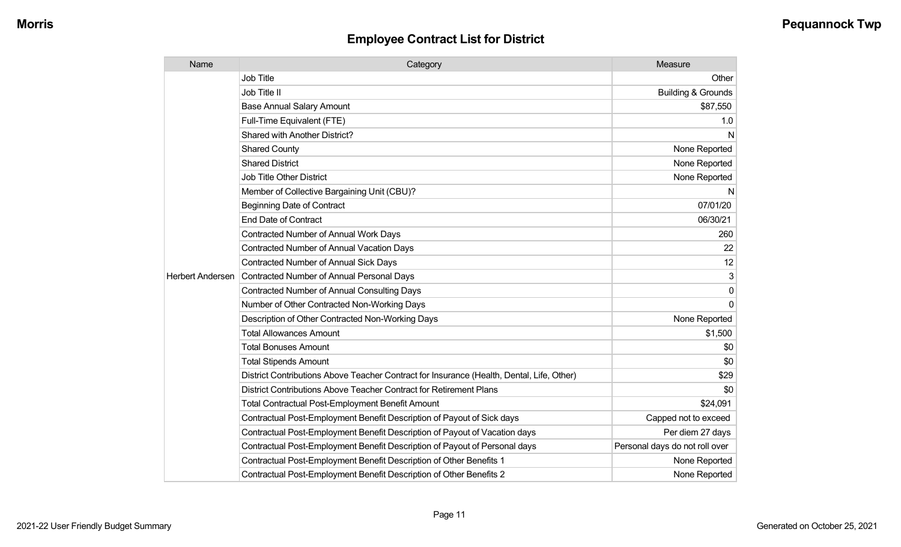| Name                    | Category                                                                                  | Measure                        |
|-------------------------|-------------------------------------------------------------------------------------------|--------------------------------|
|                         | Job Title                                                                                 | Other                          |
|                         | Job Title II                                                                              | <b>Building &amp; Grounds</b>  |
|                         | <b>Base Annual Salary Amount</b>                                                          | \$87,550                       |
|                         | Full-Time Equivalent (FTE)                                                                | 1.0                            |
|                         | Shared with Another District?                                                             | N                              |
|                         | <b>Shared County</b>                                                                      | None Reported                  |
|                         | <b>Shared District</b>                                                                    | None Reported                  |
|                         | <b>Job Title Other District</b>                                                           | None Reported                  |
|                         | Member of Collective Bargaining Unit (CBU)?                                               | N                              |
|                         | <b>Beginning Date of Contract</b>                                                         | 07/01/20                       |
|                         | <b>End Date of Contract</b>                                                               | 06/30/21                       |
|                         | <b>Contracted Number of Annual Work Days</b>                                              | 260                            |
|                         | <b>Contracted Number of Annual Vacation Days</b>                                          | 22                             |
|                         | <b>Contracted Number of Annual Sick Days</b>                                              | 12                             |
| <b>Herbert Andersen</b> | Contracted Number of Annual Personal Days                                                 | 3                              |
|                         | <b>Contracted Number of Annual Consulting Days</b>                                        | 0                              |
|                         | Number of Other Contracted Non-Working Days                                               | $\Omega$                       |
|                         | Description of Other Contracted Non-Working Days                                          | None Reported                  |
|                         | <b>Total Allowances Amount</b>                                                            | \$1,500                        |
|                         | <b>Total Bonuses Amount</b>                                                               | \$0                            |
|                         | <b>Total Stipends Amount</b>                                                              | \$0                            |
|                         | District Contributions Above Teacher Contract for Insurance (Health, Dental, Life, Other) | \$29                           |
|                         | District Contributions Above Teacher Contract for Retirement Plans                        | \$0                            |
|                         | <b>Total Contractual Post-Employment Benefit Amount</b>                                   | \$24,091                       |
|                         | Contractual Post-Employment Benefit Description of Payout of Sick days                    | Capped not to exceed           |
|                         | Contractual Post-Employment Benefit Description of Payout of Vacation days                | Per diem 27 days               |
|                         | Contractual Post-Employment Benefit Description of Payout of Personal days                | Personal days do not roll over |
|                         | Contractual Post-Employment Benefit Description of Other Benefits 1                       | None Reported                  |
|                         | Contractual Post-Employment Benefit Description of Other Benefits 2                       | None Reported                  |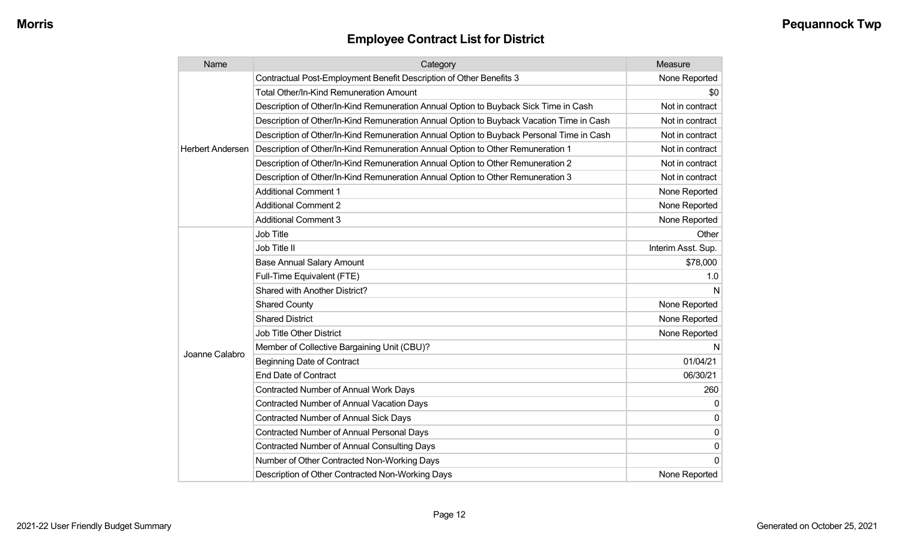| Name                    | Category                                                                                 | Measure            |
|-------------------------|------------------------------------------------------------------------------------------|--------------------|
|                         | Contractual Post-Employment Benefit Description of Other Benefits 3                      | None Reported      |
|                         | <b>Total Other/In-Kind Remuneration Amount</b>                                           | \$0                |
|                         | Description of Other/In-Kind Remuneration Annual Option to Buyback Sick Time in Cash     | Not in contract    |
|                         | Description of Other/In-Kind Remuneration Annual Option to Buyback Vacation Time in Cash | Not in contract    |
|                         | Description of Other/In-Kind Remuneration Annual Option to Buyback Personal Time in Cash | Not in contract    |
| <b>Herbert Andersen</b> | Description of Other/In-Kind Remuneration Annual Option to Other Remuneration 1          | Not in contract    |
|                         | Description of Other/In-Kind Remuneration Annual Option to Other Remuneration 2          | Not in contract    |
|                         | Description of Other/In-Kind Remuneration Annual Option to Other Remuneration 3          | Not in contract    |
|                         | <b>Additional Comment 1</b>                                                              | None Reported      |
|                         | <b>Additional Comment 2</b>                                                              | None Reported      |
|                         | <b>Additional Comment 3</b>                                                              | None Reported      |
|                         | Job Title                                                                                | Other              |
|                         | Job Title II                                                                             | Interim Asst. Sup. |
|                         | <b>Base Annual Salary Amount</b>                                                         | \$78,000           |
|                         | Full-Time Equivalent (FTE)                                                               | 1.0                |
|                         | Shared with Another District?                                                            | N                  |
|                         | <b>Shared County</b>                                                                     | None Reported      |
|                         | <b>Shared District</b>                                                                   | None Reported      |
|                         | <b>Job Title Other District</b>                                                          | None Reported      |
|                         | Member of Collective Bargaining Unit (CBU)?                                              | N                  |
| Joanne Calabro          | <b>Beginning Date of Contract</b>                                                        | 01/04/21           |
|                         | <b>End Date of Contract</b>                                                              | 06/30/21           |
|                         | Contracted Number of Annual Work Days                                                    | 260                |
|                         | <b>Contracted Number of Annual Vacation Days</b>                                         | 0                  |
|                         | <b>Contracted Number of Annual Sick Days</b>                                             | 0                  |
|                         | <b>Contracted Number of Annual Personal Days</b>                                         | 0                  |
|                         | <b>Contracted Number of Annual Consulting Days</b>                                       | 0                  |
|                         | Number of Other Contracted Non-Working Days                                              | $\Omega$           |
|                         | Description of Other Contracted Non-Working Days                                         | None Reported      |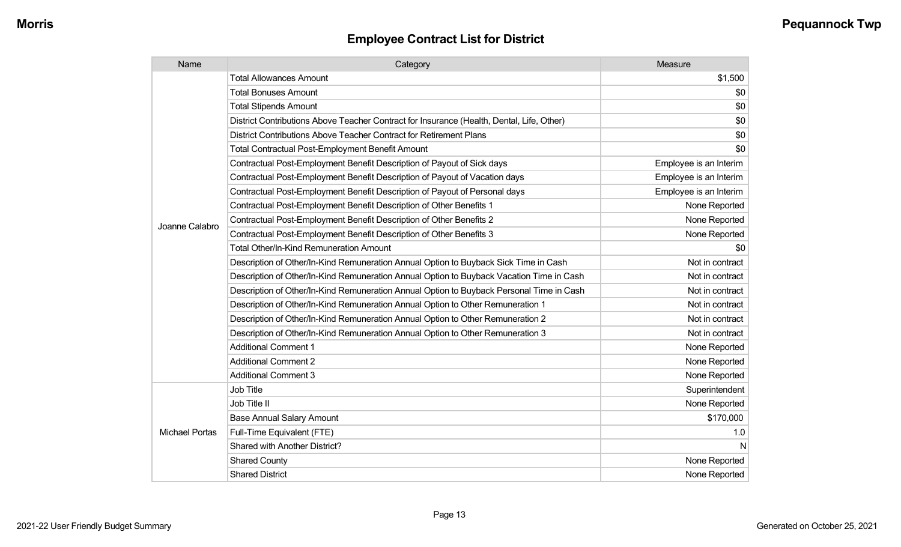| Name                  | Category                                                                                  | Measure                |
|-----------------------|-------------------------------------------------------------------------------------------|------------------------|
|                       | <b>Total Allowances Amount</b>                                                            | \$1,500                |
|                       | <b>Total Bonuses Amount</b>                                                               | \$0                    |
|                       | <b>Total Stipends Amount</b>                                                              | \$0                    |
|                       | District Contributions Above Teacher Contract for Insurance (Health, Dental, Life, Other) | \$0                    |
|                       | District Contributions Above Teacher Contract for Retirement Plans                        | \$0                    |
|                       | <b>Total Contractual Post-Employment Benefit Amount</b>                                   | \$0                    |
|                       | Contractual Post-Employment Benefit Description of Payout of Sick days                    | Employee is an Interim |
|                       | Contractual Post-Employment Benefit Description of Payout of Vacation days                | Employee is an Interim |
| Joanne Calabro        | Contractual Post-Employment Benefit Description of Payout of Personal days                | Employee is an Interim |
|                       | Contractual Post-Employment Benefit Description of Other Benefits 1                       | None Reported          |
|                       | Contractual Post-Employment Benefit Description of Other Benefits 2                       | None Reported          |
|                       | Contractual Post-Employment Benefit Description of Other Benefits 3                       | None Reported          |
|                       | Total Other/In-Kind Remuneration Amount                                                   | \$0                    |
|                       | Description of Other/In-Kind Remuneration Annual Option to Buyback Sick Time in Cash      | Not in contract        |
|                       | Description of Other/In-Kind Remuneration Annual Option to Buyback Vacation Time in Cash  | Not in contract        |
|                       | Description of Other/In-Kind Remuneration Annual Option to Buyback Personal Time in Cash  | Not in contract        |
|                       | Description of Other/In-Kind Remuneration Annual Option to Other Remuneration 1           | Not in contract        |
|                       | Description of Other/In-Kind Remuneration Annual Option to Other Remuneration 2           | Not in contract        |
|                       | Description of Other/In-Kind Remuneration Annual Option to Other Remuneration 3           | Not in contract        |
|                       | <b>Additional Comment 1</b>                                                               | None Reported          |
|                       | <b>Additional Comment 2</b>                                                               | None Reported          |
|                       | <b>Additional Comment 3</b>                                                               | None Reported          |
| <b>Michael Portas</b> | Job Title                                                                                 | Superintendent         |
|                       | Job Title II                                                                              | None Reported          |
|                       | <b>Base Annual Salary Amount</b>                                                          | \$170,000              |
|                       | Full-Time Equivalent (FTE)                                                                | 1.0                    |
|                       | Shared with Another District?                                                             | N                      |
|                       | <b>Shared County</b>                                                                      | None Reported          |
|                       | <b>Shared District</b>                                                                    | None Reported          |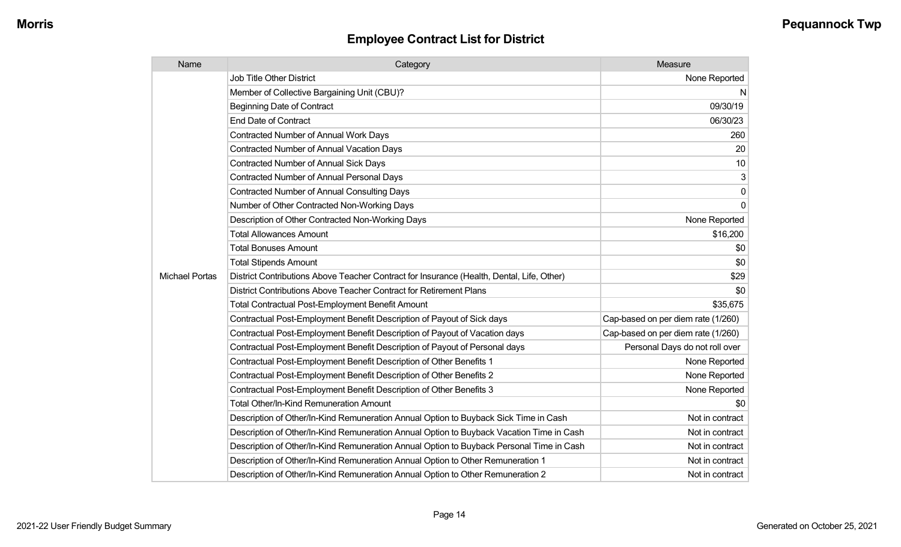| Name                  | Category                                                                                  | Measure                            |
|-----------------------|-------------------------------------------------------------------------------------------|------------------------------------|
|                       | <b>Job Title Other District</b>                                                           | None Reported                      |
|                       | Member of Collective Bargaining Unit (CBU)?                                               | N                                  |
|                       | <b>Beginning Date of Contract</b>                                                         | 09/30/19                           |
|                       | End Date of Contract                                                                      | 06/30/23                           |
|                       | Contracted Number of Annual Work Days                                                     | 260                                |
|                       | <b>Contracted Number of Annual Vacation Days</b>                                          | 20                                 |
|                       | <b>Contracted Number of Annual Sick Days</b>                                              | 10                                 |
|                       | <b>Contracted Number of Annual Personal Days</b>                                          | 3                                  |
|                       | <b>Contracted Number of Annual Consulting Days</b>                                        | 0                                  |
|                       | Number of Other Contracted Non-Working Days                                               | $\mathbf 0$                        |
|                       | Description of Other Contracted Non-Working Days                                          | None Reported                      |
|                       | <b>Total Allowances Amount</b>                                                            | \$16,200                           |
|                       | <b>Total Bonuses Amount</b>                                                               | \$0                                |
|                       | <b>Total Stipends Amount</b>                                                              | \$0                                |
| <b>Michael Portas</b> | District Contributions Above Teacher Contract for Insurance (Health, Dental, Life, Other) | \$29                               |
|                       | District Contributions Above Teacher Contract for Retirement Plans                        | \$0                                |
|                       | <b>Total Contractual Post-Employment Benefit Amount</b>                                   | \$35,675                           |
|                       | Contractual Post-Employment Benefit Description of Payout of Sick days                    | Cap-based on per diem rate (1/260) |
|                       | Contractual Post-Employment Benefit Description of Payout of Vacation days                | Cap-based on per diem rate (1/260) |
|                       | Contractual Post-Employment Benefit Description of Payout of Personal days                | Personal Days do not roll over     |
|                       | Contractual Post-Employment Benefit Description of Other Benefits 1                       | None Reported                      |
|                       | Contractual Post-Employment Benefit Description of Other Benefits 2                       | None Reported                      |
|                       | Contractual Post-Employment Benefit Description of Other Benefits 3                       | None Reported                      |
|                       | <b>Total Other/In-Kind Remuneration Amount</b>                                            | \$0                                |
|                       | Description of Other/In-Kind Remuneration Annual Option to Buyback Sick Time in Cash      | Not in contract                    |
|                       | Description of Other/In-Kind Remuneration Annual Option to Buyback Vacation Time in Cash  | Not in contract                    |
|                       | Description of Other/In-Kind Remuneration Annual Option to Buyback Personal Time in Cash  | Not in contract                    |
|                       | Description of Other/In-Kind Remuneration Annual Option to Other Remuneration 1           | Not in contract                    |
|                       | Description of Other/In-Kind Remuneration Annual Option to Other Remuneration 2           | Not in contract                    |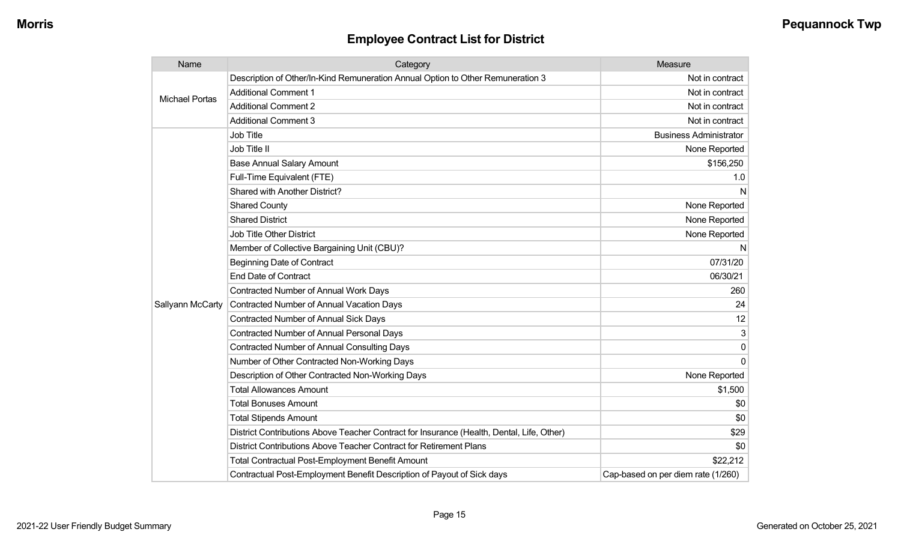| Name                  | Category                                                                                  | <b>Measure</b>                     |
|-----------------------|-------------------------------------------------------------------------------------------|------------------------------------|
| <b>Michael Portas</b> | Description of Other/In-Kind Remuneration Annual Option to Other Remuneration 3           | Not in contract                    |
|                       | <b>Additional Comment 1</b>                                                               | Not in contract                    |
|                       | <b>Additional Comment 2</b>                                                               | Not in contract                    |
|                       | <b>Additional Comment 3</b>                                                               | Not in contract                    |
|                       | Job Title                                                                                 | <b>Business Administrator</b>      |
|                       | Job Title II                                                                              | None Reported                      |
|                       | <b>Base Annual Salary Amount</b>                                                          | \$156,250                          |
|                       | Full-Time Equivalent (FTE)                                                                | 1.0                                |
|                       | Shared with Another District?                                                             | N                                  |
|                       | <b>Shared County</b>                                                                      | None Reported                      |
|                       | <b>Shared District</b>                                                                    | None Reported                      |
|                       | Job Title Other District                                                                  | None Reported                      |
|                       | Member of Collective Bargaining Unit (CBU)?                                               | N                                  |
|                       | <b>Beginning Date of Contract</b>                                                         | 07/31/20                           |
|                       | <b>End Date of Contract</b>                                                               | 06/30/21                           |
|                       | <b>Contracted Number of Annual Work Days</b>                                              | 260                                |
| Sallyann McCarty      | Contracted Number of Annual Vacation Days                                                 | 24                                 |
|                       | <b>Contracted Number of Annual Sick Days</b>                                              | 12                                 |
|                       | <b>Contracted Number of Annual Personal Days</b>                                          | 3                                  |
|                       | <b>Contracted Number of Annual Consulting Days</b>                                        | $\Omega$                           |
|                       | Number of Other Contracted Non-Working Days                                               | $\Omega$                           |
|                       | Description of Other Contracted Non-Working Days                                          | None Reported                      |
|                       | <b>Total Allowances Amount</b>                                                            | \$1,500                            |
|                       | <b>Total Bonuses Amount</b>                                                               | \$0                                |
|                       | <b>Total Stipends Amount</b>                                                              | \$0                                |
|                       | District Contributions Above Teacher Contract for Insurance (Health, Dental, Life, Other) | \$29                               |
|                       | District Contributions Above Teacher Contract for Retirement Plans                        | \$0                                |
|                       | <b>Total Contractual Post-Employment Benefit Amount</b>                                   | \$22,212                           |
|                       | Contractual Post-Employment Benefit Description of Payout of Sick days                    | Cap-based on per diem rate (1/260) |